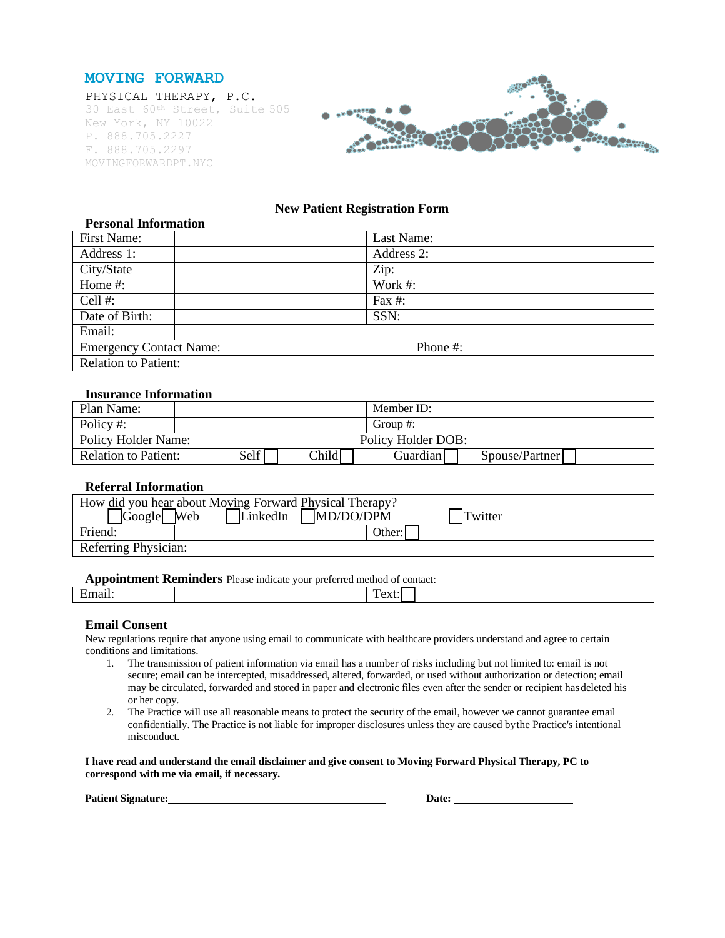



# **New Patient Registration Form**

| <b>Personal Information</b>    |            |
|--------------------------------|------------|
| First Name:                    | Last Name: |
| Address 1:                     | Address 2: |
| City/State                     | Zip:       |
| Home #:                        | Work #:    |
| Cell #:                        | Fax $#$ :  |
| Date of Birth:                 | SSN:       |
| Email:                         |            |
| <b>Emergency Contact Name:</b> | Phone #:   |
| Relation to Patient:           |            |

## **Insurance Information**

| Plan Name:                  |                    |       | Member ID: |                |
|-----------------------------|--------------------|-------|------------|----------------|
| Policy #:                   |                    |       | Group #:   |                |
| Policy Holder Name:         | Policy Holder DOB: |       |            |                |
| <b>Relation to Patient:</b> | Self               | Child | Guardianl  | Spouse/Partner |

## **Referral Information**

| How did you hear about Moving Forward Physical Therapy?           |  |  |  |  |  |  |
|-------------------------------------------------------------------|--|--|--|--|--|--|
| $\sqrt{1 + 60}$<br>MD/DO/DPM<br><b>Web</b><br>LinkedIn<br>Twitter |  |  |  |  |  |  |
| Friend:<br>Other:                                                 |  |  |  |  |  |  |
| Referring Physician:                                              |  |  |  |  |  |  |

#### **Appointment Reminders** Please indicate your preferred method of contact:

| <b>Traditional Acquisition</b> Figure material voal preferred member of comact. |                                 |  |  |  |  |
|---------------------------------------------------------------------------------|---------------------------------|--|--|--|--|
|                                                                                 | . .<br>$ \cup$ $\Lambda$ $\cup$ |  |  |  |  |
|                                                                                 |                                 |  |  |  |  |

#### **Email Consent**

New regulations require that anyone using email to communicate with healthcare providers understand and agree to certain conditions and limitations.

- 1. The transmission of patient information via email has a number of risks including but not limited to: email is not secure; email can be intercepted, misaddressed, altered, forwarded, or used without authorization or detection; email may be circulated, forwarded and stored in paper and electronic files even after the sender or recipient has deleted his or her copy.
- 2. The Practice will use all reasonable means to protect the security of the email, however we cannot guarantee email confidentially. The Practice is not liable for improper disclosures unless they are caused bythe Practice's intentional misconduct.

**I have read and understand the email disclaimer and give consent to Moving Forward Physical Therapy, PC to correspond with me via email, if necessary.**

**Patient Signature:**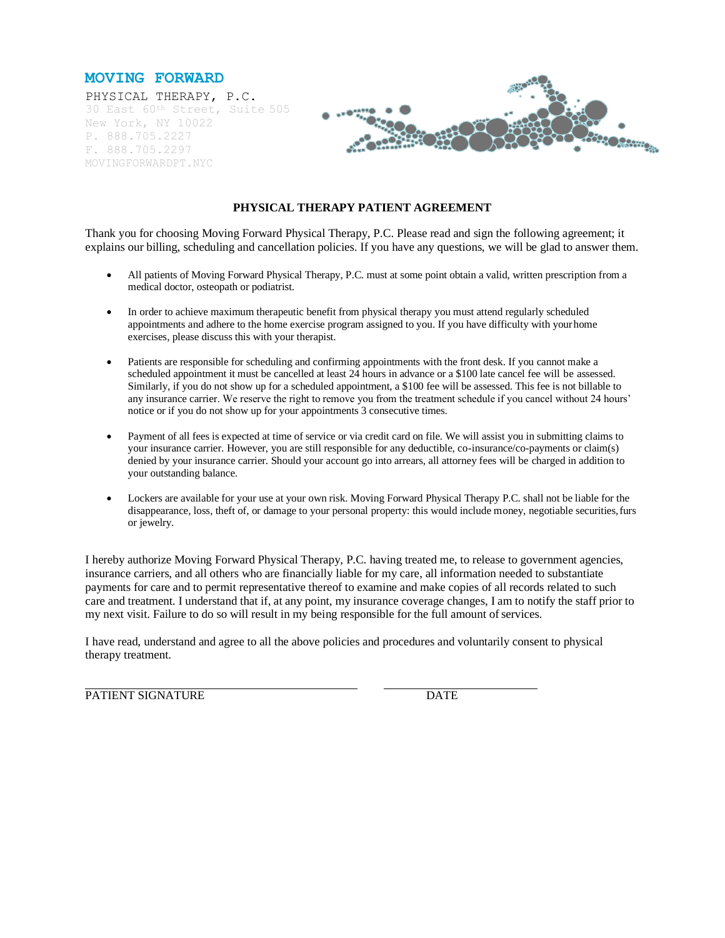



## **PHYSICAL THERAPY PATIENT AGREEMENT**

Thank you for choosing Moving Forward Physical Therapy, P.C. Please read and sign the following agreement; it explains our billing, scheduling and cancellation policies. If you have any questions, we will be glad to answer them.

- All patients of Moving Forward Physical Therapy, P.C. must at some point obtain a valid, written prescription from a medical doctor, osteopath or podiatrist.
- In order to achieve maximum therapeutic benefit from physical therapy you must attend regularly scheduled appointments and adhere to the home exercise program assigned to you. If you have difficulty with yourhome exercises, please discuss this with your therapist.
- Patients are responsible for scheduling and confirming appointments with the front desk. If you cannot make a scheduled appointment it must be cancelled at least 24 hours in advance or a \$100 late cancel fee will be assessed. Similarly, if you do not show up for a scheduled appointment, a \$100 fee will be assessed. This fee is not billable to any insurance carrier. We reserve the right to remove you from the treatment schedule if you cancel without 24 hours' notice or if you do not show up for your appointments 3 consecutive times.
- Payment of all fees is expected at time of service or via credit card on file. We will assist you in submitting claims to your insurance carrier. However, you are still responsible for any deductible, co-insurance/co-payments or claim(s) denied by your insurance carrier. Should your account go into arrears, all attorney fees will be charged in addition to your outstanding balance.
- Lockers are available for your use at your own risk. Moving Forward Physical Therapy P.C. shall not be liable for the disappearance, loss, theft of, or damage to your personal property: this would include money, negotiable securities,furs or jewelry.

I hereby authorize Moving Forward Physical Therapy, P.C. having treated me, to release to government agencies, insurance carriers, and all others who are financially liable for my care, all information needed to substantiate payments for care and to permit representative thereof to examine and make copies of all records related to such care and treatment. I understand that if, at any point, my insurance coverage changes, I am to notify the staff prior to my next visit. Failure to do so will result in my being responsible for the full amount of services.

I have read, understand and agree to all the above policies and procedures and voluntarily consent to physical therapy treatment.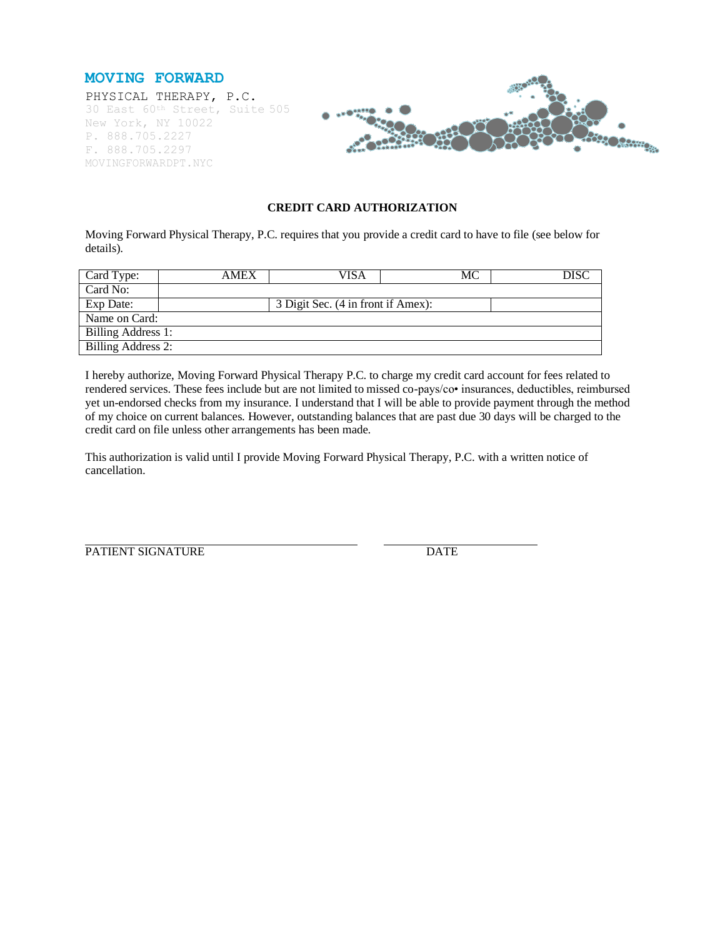



## **CREDIT CARD AUTHORIZATION**

Moving Forward Physical Therapy, P.C. requires that you provide a credit card to have to file (see below for details).

| Card Type:         | <b>AMEX</b> | VISA                               | МC |  |  |  |
|--------------------|-------------|------------------------------------|----|--|--|--|
| Card No:           |             |                                    |    |  |  |  |
| Exp Date:          |             | 3 Digit Sec. (4 in front if Amex): |    |  |  |  |
| Name on Card:      |             |                                    |    |  |  |  |
| Billing Address 1: |             |                                    |    |  |  |  |
| Billing Address 2: |             |                                    |    |  |  |  |

I hereby authorize, Moving Forward Physical Therapy P.C. to charge my credit card account for fees related to rendered services. These fees include but are not limited to missed co-pays/co• insurances, deductibles, reimbursed yet un-endorsed checks from my insurance. I understand that I will be able to provide payment through the method of my choice on current balances. However, outstanding balances that are past due 30 days will be charged to the credit card on file unless other arrangements has been made.

This authorization is valid until I provide Moving Forward Physical Therapy, P.C. with a written notice of cancellation.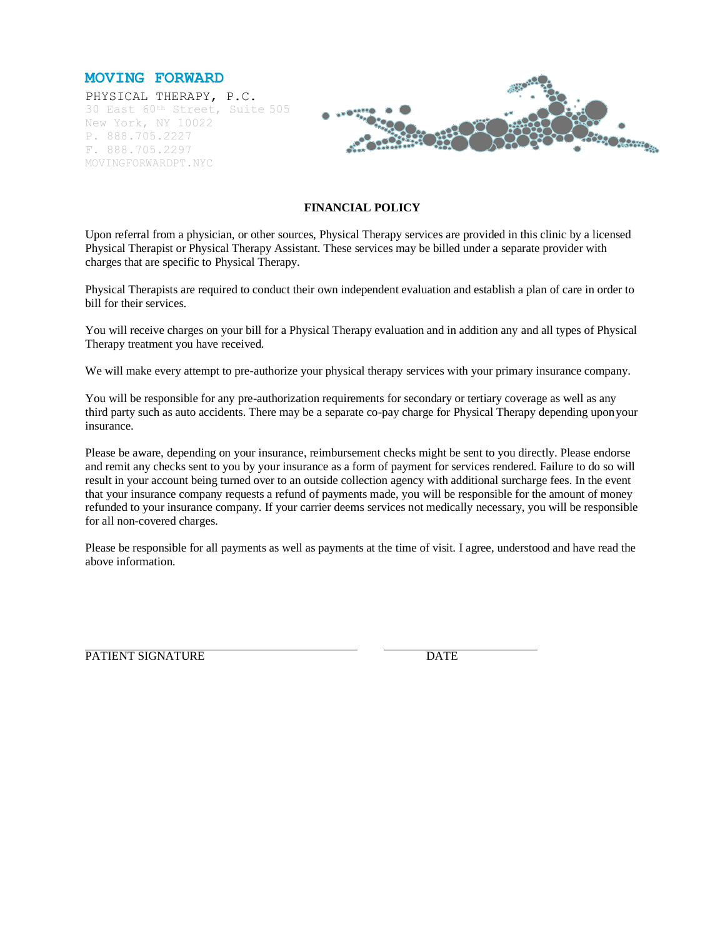



## **FINANCIAL POLICY**

Upon referral from a physician, or other sources, Physical Therapy services are provided in this clinic by a licensed Physical Therapist or Physical Therapy Assistant. These services may be billed under a separate provider with charges that are specific to Physical Therapy.

Physical Therapists are required to conduct their own independent evaluation and establish a plan of care in order to bill for their services.

You will receive charges on your bill for a Physical Therapy evaluation and in addition any and all types of Physical Therapy treatment you have received.

We will make every attempt to pre-authorize your physical therapy services with your primary insurance company.

You will be responsible for any pre-authorization requirements for secondary or tertiary coverage as well as any third party such as auto accidents. There may be a separate co-pay charge for Physical Therapy depending uponyour insurance.

Please be aware, depending on your insurance, reimbursement checks might be sent to you directly. Please endorse and remit any checks sent to you by your insurance as a form of payment for services rendered. Failure to do so will result in your account being turned over to an outside collection agency with additional surcharge fees. In the event that your insurance company requests a refund of payments made, you will be responsible for the amount of money refunded to your insurance company. If your carrier deems services not medically necessary, you will be responsible for all non-covered charges.

Please be responsible for all payments as well as payments at the time of visit. I agree, understood and have read the above information.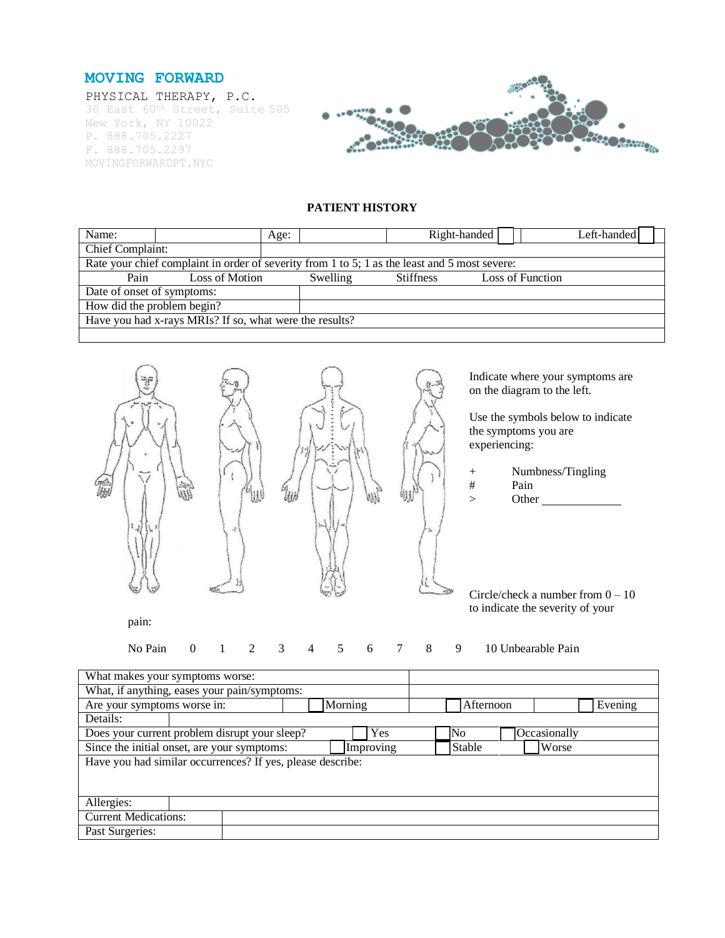



# **PATIENT HISTORY**

| Name:                                                   |                                                                                               | Age:     |                  | Right-handed |                  | Left-handed |
|---------------------------------------------------------|-----------------------------------------------------------------------------------------------|----------|------------------|--------------|------------------|-------------|
| Chief Complaint:                                        |                                                                                               |          |                  |              |                  |             |
|                                                         | Rate your chief complaint in order of severity from 1 to 5; 1 as the least and 5 most severe: |          |                  |              |                  |             |
| Pain                                                    | Loss of Motion                                                                                | Swelling | <b>Stiffness</b> |              | Loss of Function |             |
|                                                         | Date of onset of symptoms:                                                                    |          |                  |              |                  |             |
| How did the problem begin?                              |                                                                                               |          |                  |              |                  |             |
| Have you had x-rays MRIs? If so, what were the results? |                                                                                               |          |                  |              |                  |             |
|                                                         |                                                                                               |          |                  |              |                  |             |



Indicate where your symptoms are on the diagram to the left.

Use the symbols below to indicate the symptoms you are

- + Numbness/Tingling
- $>$  Other

Circle/check a number from  $0 - 10$ to indicate the severity of your

pain:

No Pain 0 1 2 3 4 5 6 7 8 9 10 Unbearable Pain

What makes your symptoms worse: What, if anything, eases your pain/symptoms: Are your symptoms worse in:  $\bigcap$  Morning  $\bigcap$  Afternoon Evening Details: Does your current problem disrupt your sleep? Ves No Occasionally Since the initial onset, are your symptoms: Improving Stable Worse Have you had similar occurrences? If yes, please describe: Allergies: Current Medications: Past Surgeries: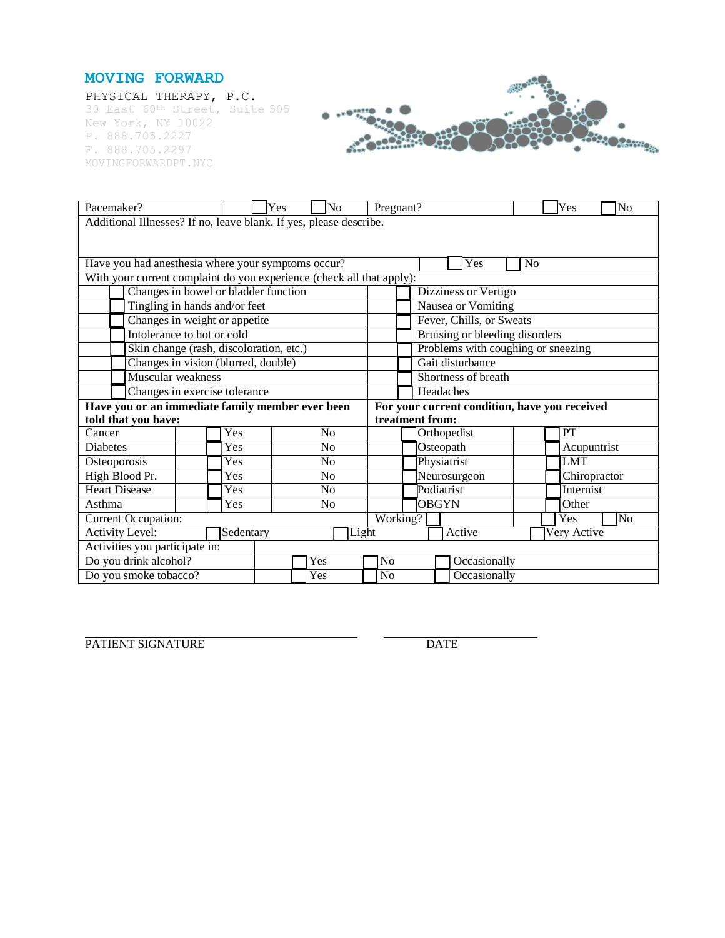



| Pacemaker?                                                                                        |           | Yes<br>No      | Yes<br>Pregnant?<br>No         |                                    |                |  |  |
|---------------------------------------------------------------------------------------------------|-----------|----------------|--------------------------------|------------------------------------|----------------|--|--|
| Additional Illnesses? If no, leave blank. If yes, please describe.                                |           |                |                                |                                    |                |  |  |
|                                                                                                   |           |                |                                |                                    |                |  |  |
|                                                                                                   |           |                |                                |                                    |                |  |  |
| Have you had anesthesia where your symptoms occur?                                                |           |                |                                | <b>Yes</b>                         | N <sub>0</sub> |  |  |
| With your current complaint do you experience (check all that apply):                             |           |                |                                |                                    |                |  |  |
| Changes in bowel or bladder function                                                              |           |                |                                | Dizziness or Vertigo               |                |  |  |
| Tingling in hands and/or feet                                                                     |           |                |                                | Nausea or Vomiting                 |                |  |  |
| Changes in weight or appetite                                                                     |           |                |                                | Fever, Chills, or Sweats           |                |  |  |
| Intolerance to hot or cold                                                                        |           |                |                                | Bruising or bleeding disorders     |                |  |  |
| Skin change (rash, discoloration, etc.)                                                           |           |                |                                | Problems with coughing or sneezing |                |  |  |
| Changes in vision (blurred, double)                                                               |           |                |                                | Gait disturbance                   |                |  |  |
| Muscular weakness                                                                                 |           |                |                                | Shortness of breath                |                |  |  |
| Changes in exercise tolerance<br>Headaches                                                        |           |                |                                |                                    |                |  |  |
| Have you or an immediate family member ever been<br>For your current condition, have you received |           |                |                                |                                    |                |  |  |
| told that you have:                                                                               |           |                |                                | treatment from:                    |                |  |  |
| Cancer                                                                                            | Yes       | N <sub>0</sub> |                                | Orthopedist                        | PT             |  |  |
| <b>Diabetes</b>                                                                                   | Yes       | No             |                                | Osteopath                          | Acupuntrist    |  |  |
| Osteoporosis                                                                                      | Yes       | N <sub>0</sub> |                                | Physiatrist                        | <b>LMT</b>     |  |  |
| High Blood Pr.                                                                                    | Yes       | N <sub>o</sub> |                                | Neurosurgeon                       | Chiropractor   |  |  |
| <b>Heart Disease</b>                                                                              | Yes       | No             |                                | Podiatrist                         | Internist      |  |  |
| Asthma                                                                                            | Yes       | N <sub>o</sub> |                                | <b>OBGYN</b>                       | Other          |  |  |
| $\overline{\text{Working}}$ ?<br><b>Current Occupation:</b><br>Yes                                |           |                |                                |                                    | No             |  |  |
| <b>Activity Level:</b>                                                                            | Sedentary |                | Light<br>Very Active<br>Active |                                    |                |  |  |
| Activities you participate in:                                                                    |           |                |                                |                                    |                |  |  |
| Do you drink alcohol?                                                                             |           | Yes            | N <sub>o</sub>                 | Occasionally                       |                |  |  |
| Do you smoke tobacco?                                                                             |           | Yes            | No                             | Occasionally                       |                |  |  |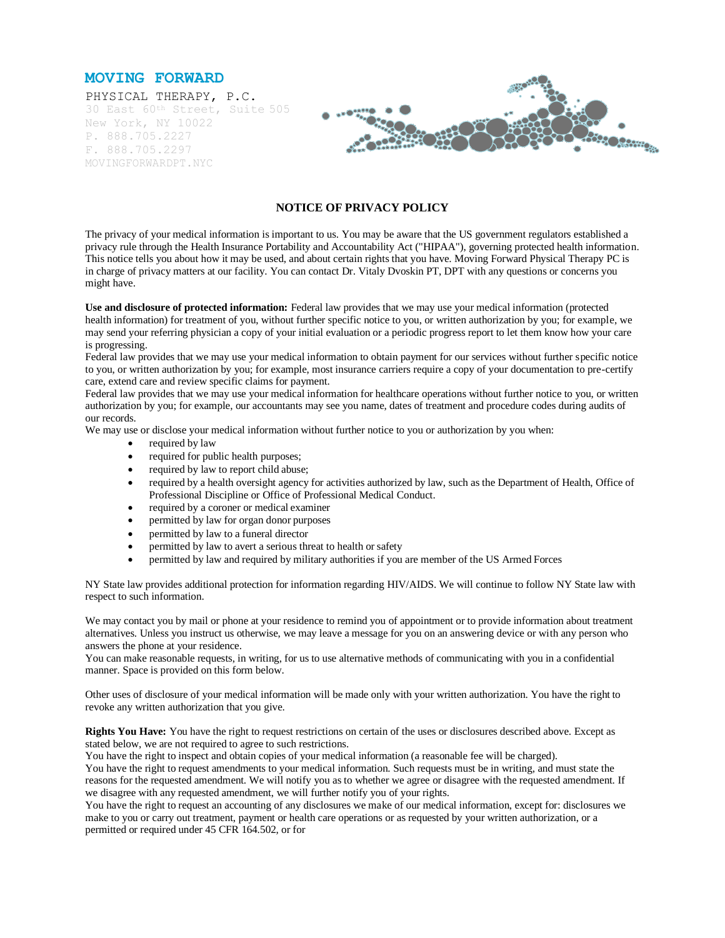



#### **NOTICE OF PRIVACY POLICY**

The privacy of your medical information is important to us. You may be aware that the US government regulators established a privacy rule through the Health Insurance Portability and Accountability Act ("HIPAA"), governing protected health information. This notice tells you about how it may be used, and about certain rights that you have. Moving Forward Physical Therapy PC is in charge of privacy matters at our facility. You can contact Dr. Vitaly Dvoskin PT, DPT with any questions or concerns you might have.

**Use and disclosure of protected information:** Federal law provides that we may use your medical information (protected health information) for treatment of you, without further specific notice to you, or written authorization by you; for example, we may send your referring physician a copy of your initial evaluation or a periodic progress report to let them know how your care is progressing.

Federal law provides that we may use your medical information to obtain payment for our services without further specific notice to you, or written authorization by you; for example, most insurance carriers require a copy of your documentation to pre-certify care, extend care and review specific claims for payment.

Federal law provides that we may use your medical information for healthcare operations without further notice to you, or written authorization by you; for example, our accountants may see you name, dates of treatment and procedure codes during audits of our records.

We may use or disclose your medical information without further notice to you or authorization by you when:

- required by law
- required for public health purposes;
- required by law to report child abuse;
- required by a health oversight agency for activities authorized by law, such as the Department of Health, Office of Professional Discipline or Office of Professional Medical Conduct.
- required by a coroner or medical examiner
- permitted by law for organ donor purposes
- permitted by law to a funeral director
- permitted by law to avert a serious threat to health or safety
- permitted by law and required by military authorities if you are member of the US Armed Forces

NY State law provides additional protection for information regarding HIV/AIDS. We will continue to follow NY State law with respect to such information.

We may contact you by mail or phone at your residence to remind you of appointment or to provide information about treatment alternatives. Unless you instruct us otherwise, we may leave a message for you on an answering device or with any person who answers the phone at your residence.

You can make reasonable requests, in writing, for us to use alternative methods of communicating with you in a confidential manner. Space is provided on this form below.

Other uses of disclosure of your medical information will be made only with your written authorization. You have the right to revoke any written authorization that you give.

**Rights You Have:** You have the right to request restrictions on certain of the uses or disclosures described above. Except as stated below, we are not required to agree to such restrictions.

You have the right to inspect and obtain copies of your medical information (a reasonable fee will be charged).

You have the right to request amendments to your medical information. Such requests must be in writing, and must state the reasons for the requested amendment. We will notify you as to whether we agree or disagree with the requested amendment. If we disagree with any requested amendment, we will further notify you of your rights.

You have the right to request an accounting of any disclosures we make of our medical information, except for: disclosures we make to you or carry out treatment, payment or health care operations or as requested by your written authorization, or a permitted or required under 45 CFR 164.502, or for